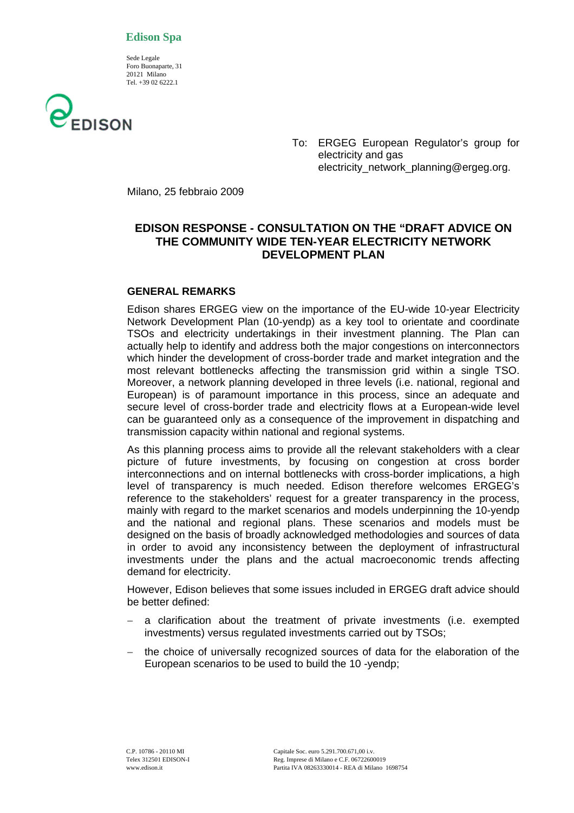## **Edison Spa**

 Sede Legale Foro Buonaparte, 31 20121 Milano Tel. +39 02 6222.1



To: ERGEG European Regulator's group for electricity and gas electricity\_network\_planning@ergeg.org.

Milano, 25 febbraio 2009

# **EDISON RESPONSE - CONSULTATION ON THE "DRAFT ADVICE ON THE COMMUNITY WIDE TEN-YEAR ELECTRICITY NETWORK DEVELOPMENT PLAN**

## **GENERAL REMARKS**

Edison shares ERGEG view on the importance of the EU-wide 10-year Electricity Network Development Plan (10-yendp) as a key tool to orientate and coordinate TSOs and electricity undertakings in their investment planning. The Plan can actually help to identify and address both the major congestions on interconnectors which hinder the development of cross-border trade and market integration and the most relevant bottlenecks affecting the transmission grid within a single TSO. Moreover, a network planning developed in three levels (i.e. national, regional and European) is of paramount importance in this process, since an adequate and secure level of cross-border trade and electricity flows at a European-wide level can be guaranteed only as a consequence of the improvement in dispatching and transmission capacity within national and regional systems.

As this planning process aims to provide all the relevant stakeholders with a clear picture of future investments, by focusing on congestion at cross border interconnections and on internal bottlenecks with cross-border implications, a high level of transparency is much needed. Edison therefore welcomes ERGEG's reference to the stakeholders' request for a greater transparency in the process, mainly with regard to the market scenarios and models underpinning the 10-yendp and the national and regional plans. These scenarios and models must be designed on the basis of broadly acknowledged methodologies and sources of data in order to avoid any inconsistency between the deployment of infrastructural investments under the plans and the actual macroeconomic trends affecting demand for electricity.

However, Edison believes that some issues included in ERGEG draft advice should be better defined:

- − a clarification about the treatment of private investments (i.e. exempted investments) versus regulated investments carried out by TSOs;
- the choice of universally recognized sources of data for the elaboration of the European scenarios to be used to build the 10 -yendp;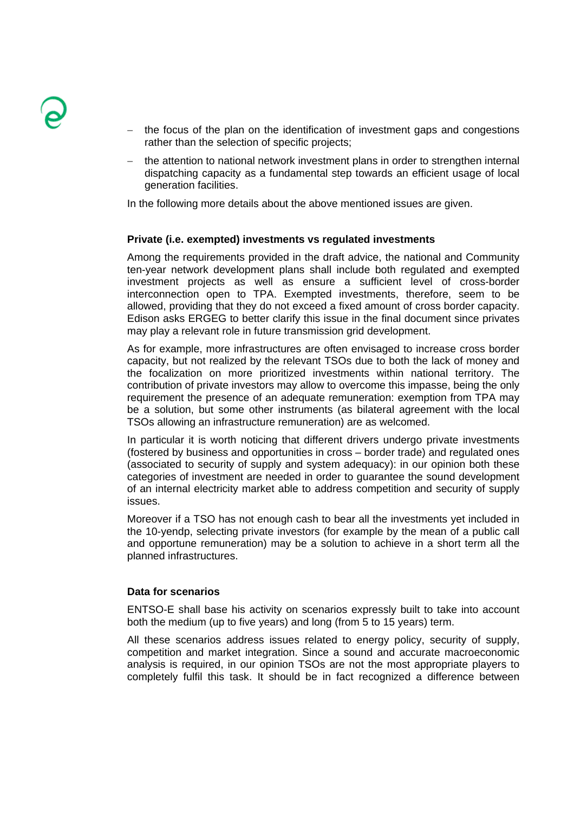

- the focus of the plan on the identification of investment gaps and congestions rather than the selection of specific projects;
- the attention to national network investment plans in order to strengthen internal dispatching capacity as a fundamental step towards an efficient usage of local generation facilities.

In the following more details about the above mentioned issues are given.

#### **Private (i.e. exempted) investments vs regulated investments**

Among the requirements provided in the draft advice, the national and Community ten-year network development plans shall include both regulated and exempted investment projects as well as ensure a sufficient level of cross-border interconnection open to TPA. Exempted investments, therefore, seem to be allowed, providing that they do not exceed a fixed amount of cross border capacity. Edison asks ERGEG to better clarify this issue in the final document since privates may play a relevant role in future transmission grid development.

As for example, more infrastructures are often envisaged to increase cross border capacity, but not realized by the relevant TSOs due to both the lack of money and the focalization on more prioritized investments within national territory. The contribution of private investors may allow to overcome this impasse, being the only requirement the presence of an adequate remuneration: exemption from TPA may be a solution, but some other instruments (as bilateral agreement with the local TSOs allowing an infrastructure remuneration) are as welcomed.

In particular it is worth noticing that different drivers undergo private investments (fostered by business and opportunities in cross – border trade) and regulated ones (associated to security of supply and system adequacy): in our opinion both these categories of investment are needed in order to guarantee the sound development of an internal electricity market able to address competition and security of supply issues.

Moreover if a TSO has not enough cash to bear all the investments yet included in the 10-yendp, selecting private investors (for example by the mean of a public call and opportune remuneration) may be a solution to achieve in a short term all the planned infrastructures.

#### **Data for scenarios**

ENTSO-E shall base his activity on scenarios expressly built to take into account both the medium (up to five years) and long (from 5 to 15 years) term.

All these scenarios address issues related to energy policy, security of supply, competition and market integration. Since a sound and accurate macroeconomic analysis is required, in our opinion TSOs are not the most appropriate players to completely fulfil this task. It should be in fact recognized a difference between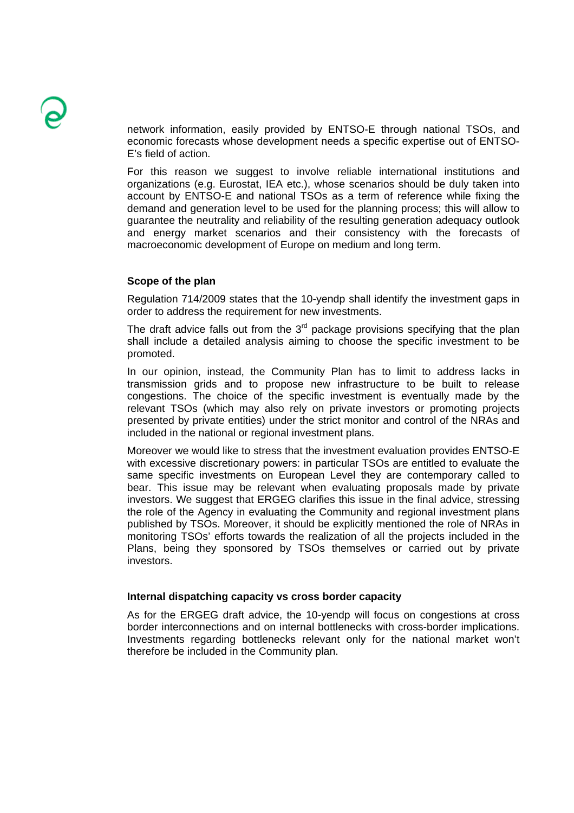network information, easily provided by ENTSO-E through national TSOs, and economic forecasts whose development needs a specific expertise out of ENTSO-E's field of action.

For this reason we suggest to involve reliable international institutions and organizations (e.g. Eurostat, IEA etc.), whose scenarios should be duly taken into account by ENTSO-E and national TSOs as a term of reference while fixing the demand and generation level to be used for the planning process; this will allow to guarantee the neutrality and reliability of the resulting generation adequacy outlook and energy market scenarios and their consistency with the forecasts of macroeconomic development of Europe on medium and long term.

## **Scope of the plan**

Regulation 714/2009 states that the 10-yendp shall identify the investment gaps in order to address the requirement for new investments.

The draft advice falls out from the  $3<sup>rd</sup>$  package provisions specifying that the plan shall include a detailed analysis aiming to choose the specific investment to be promoted.

In our opinion, instead, the Community Plan has to limit to address lacks in transmission grids and to propose new infrastructure to be built to release congestions. The choice of the specific investment is eventually made by the relevant TSOs (which may also rely on private investors or promoting projects presented by private entities) under the strict monitor and control of the NRAs and included in the national or regional investment plans.

Moreover we would like to stress that the investment evaluation provides ENTSO-E with excessive discretionary powers: in particular TSOs are entitled to evaluate the same specific investments on European Level they are contemporary called to bear. This issue may be relevant when evaluating proposals made by private investors. We suggest that ERGEG clarifies this issue in the final advice, stressing the role of the Agency in evaluating the Community and regional investment plans published by TSOs. Moreover, it should be explicitly mentioned the role of NRAs in monitoring TSOs' efforts towards the realization of all the projects included in the Plans, being they sponsored by TSOs themselves or carried out by private investors.

#### **Internal dispatching capacity vs cross border capacity**

As for the ERGEG draft advice, the 10-yendp will focus on congestions at cross border interconnections and on internal bottlenecks with cross-border implications. Investments regarding bottlenecks relevant only for the national market won't therefore be included in the Community plan.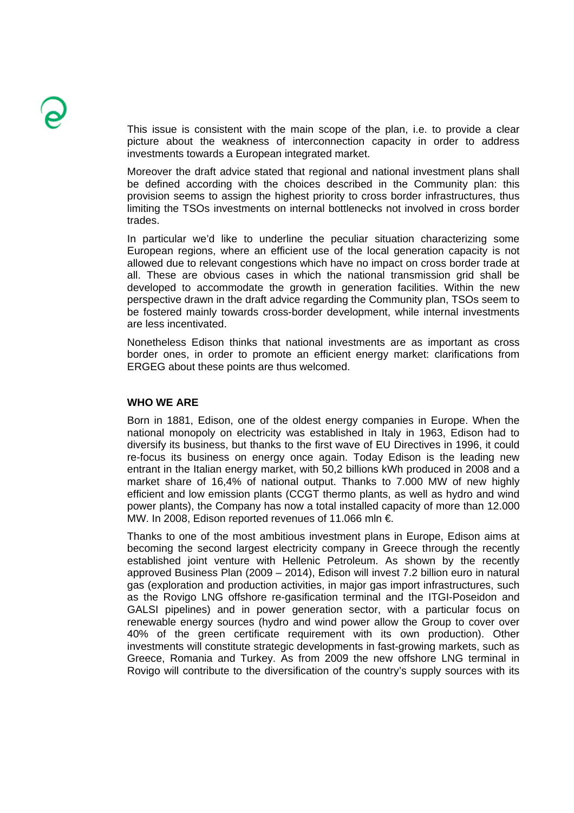This issue is consistent with the main scope of the plan, i.e. to provide a clear picture about the weakness of interconnection capacity in order to address investments towards a European integrated market.

Moreover the draft advice stated that regional and national investment plans shall be defined according with the choices described in the Community plan: this provision seems to assign the highest priority to cross border infrastructures, thus limiting the TSOs investments on internal bottlenecks not involved in cross border trades.

In particular we'd like to underline the peculiar situation characterizing some European regions, where an efficient use of the local generation capacity is not allowed due to relevant congestions which have no impact on cross border trade at all. These are obvious cases in which the national transmission grid shall be developed to accommodate the growth in generation facilities. Within the new perspective drawn in the draft advice regarding the Community plan, TSOs seem to be fostered mainly towards cross-border development, while internal investments are less incentivated.

Nonetheless Edison thinks that national investments are as important as cross border ones, in order to promote an efficient energy market: clarifications from ERGEG about these points are thus welcomed.

#### **WHO WE ARE**

Born in 1881, Edison, one of the oldest energy companies in Europe. When the national monopoly on electricity was established in Italy in 1963, Edison had to diversify its business, but thanks to the first wave of EU Directives in 1996, it could re-focus its business on energy once again. Today Edison is the leading new entrant in the Italian energy market, with 50,2 billions kWh produced in 2008 and a market share of 16,4% of national output. Thanks to 7.000 MW of new highly efficient and low emission plants (CCGT thermo plants, as well as hydro and wind power plants), the Company has now a total installed capacity of more than 12.000 MW. In 2008, Edison reported revenues of 11.066 mln €.

Thanks to one of the most ambitious investment plans in Europe, Edison aims at becoming the second largest electricity company in Greece through the recently established joint venture with Hellenic Petroleum. As shown by the recently approved Business Plan (2009 – 2014), Edison will invest 7.2 billion euro in natural gas (exploration and production activities, in major gas import infrastructures, such as the Rovigo LNG offshore re-gasification terminal and the ITGI-Poseidon and GALSI pipelines) and in power generation sector, with a particular focus on renewable energy sources (hydro and wind power allow the Group to cover over 40% of the green certificate requirement with its own production). Other investments will constitute strategic developments in fast-growing markets, such as Greece, Romania and Turkey. As from 2009 the new offshore LNG terminal in Rovigo will contribute to the diversification of the country's supply sources with its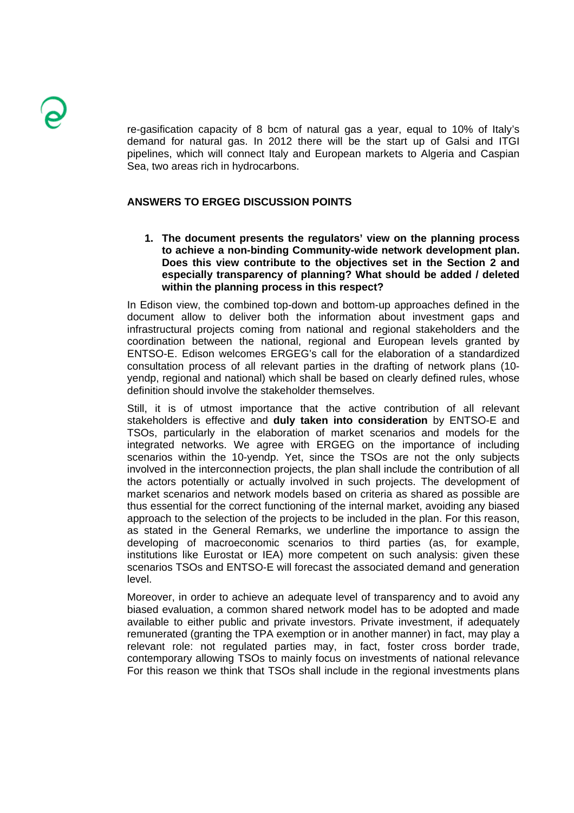re-gasification capacity of 8 bcm of natural gas a year, equal to 10% of Italy's demand for natural gas. In 2012 there will be the start up of Galsi and ITGI pipelines, which will connect Italy and European markets to Algeria and Caspian Sea, two areas rich in hydrocarbons.

# **ANSWERS TO ERGEG DISCUSSION POINTS**

**1. The document presents the regulators' view on the planning process to achieve a non-binding Community-wide network development plan. Does this view contribute to the objectives set in the Section 2 and especially transparency of planning? What should be added / deleted within the planning process in this respect?** 

In Edison view, the combined top-down and bottom-up approaches defined in the document allow to deliver both the information about investment gaps and infrastructural projects coming from national and regional stakeholders and the coordination between the national, regional and European levels granted by ENTSO-E. Edison welcomes ERGEG's call for the elaboration of a standardized consultation process of all relevant parties in the drafting of network plans (10 yendp, regional and national) which shall be based on clearly defined rules, whose definition should involve the stakeholder themselves.

Still, it is of utmost importance that the active contribution of all relevant stakeholders is effective and **duly taken into consideration** by ENTSO-E and TSOs, particularly in the elaboration of market scenarios and models for the integrated networks. We agree with ERGEG on the importance of including scenarios within the 10-yendp. Yet, since the TSOs are not the only subjects involved in the interconnection projects, the plan shall include the contribution of all the actors potentially or actually involved in such projects. The development of market scenarios and network models based on criteria as shared as possible are thus essential for the correct functioning of the internal market, avoiding any biased approach to the selection of the projects to be included in the plan. For this reason, as stated in the General Remarks, we underline the importance to assign the developing of macroeconomic scenarios to third parties (as, for example, institutions like Eurostat or IEA) more competent on such analysis: given these scenarios TSOs and ENTSO-E will forecast the associated demand and generation level.

Moreover, in order to achieve an adequate level of transparency and to avoid any biased evaluation, a common shared network model has to be adopted and made available to either public and private investors. Private investment, if adequately remunerated (granting the TPA exemption or in another manner) in fact, may play a relevant role: not regulated parties may, in fact, foster cross border trade, contemporary allowing TSOs to mainly focus on investments of national relevance For this reason we think that TSOs shall include in the regional investments plans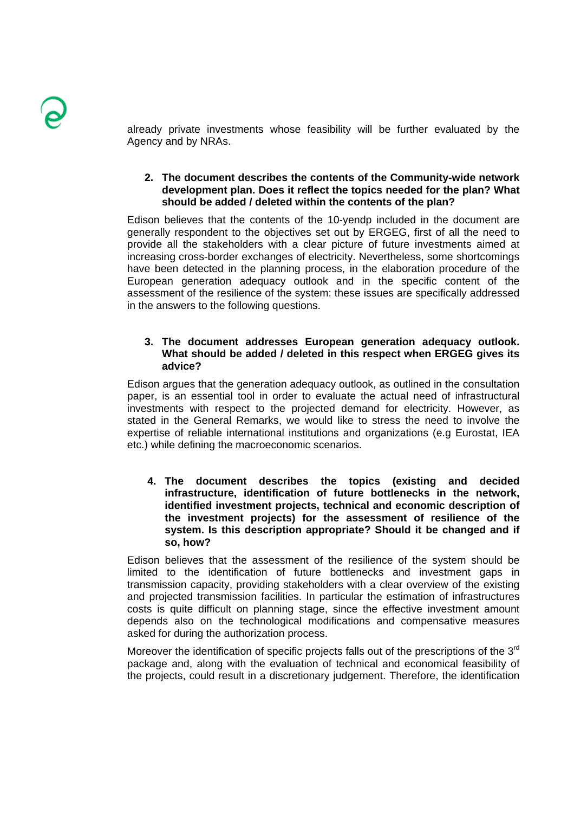already private investments whose feasibility will be further evaluated by the Agency and by NRAs.

# **2. The document describes the contents of the Community-wide network development plan. Does it reflect the topics needed for the plan? What should be added / deleted within the contents of the plan?**

Edison believes that the contents of the 10-yendp included in the document are generally respondent to the objectives set out by ERGEG, first of all the need to provide all the stakeholders with a clear picture of future investments aimed at increasing cross-border exchanges of electricity. Nevertheless, some shortcomings have been detected in the planning process, in the elaboration procedure of the European generation adequacy outlook and in the specific content of the assessment of the resilience of the system: these issues are specifically addressed in the answers to the following questions.

# **3. The document addresses European generation adequacy outlook. What should be added / deleted in this respect when ERGEG gives its advice?**

Edison argues that the generation adequacy outlook, as outlined in the consultation paper, is an essential tool in order to evaluate the actual need of infrastructural investments with respect to the projected demand for electricity. However, as stated in the General Remarks, we would like to stress the need to involve the expertise of reliable international institutions and organizations (e.g Eurostat, IEA etc.) while defining the macroeconomic scenarios.

**4. The document describes the topics (existing and decided infrastructure, identification of future bottlenecks in the network, identified investment projects, technical and economic description of the investment projects) for the assessment of resilience of the system. Is this description appropriate? Should it be changed and if so, how?** 

Edison believes that the assessment of the resilience of the system should be limited to the identification of future bottlenecks and investment gaps in transmission capacity, providing stakeholders with a clear overview of the existing and projected transmission facilities. In particular the estimation of infrastructures costs is quite difficult on planning stage, since the effective investment amount depends also on the technological modifications and compensative measures asked for during the authorization process.

Moreover the identification of specific projects falls out of the prescriptions of the 3<sup>rd</sup> package and, along with the evaluation of technical and economical feasibility of the projects, could result in a discretionary judgement. Therefore, the identification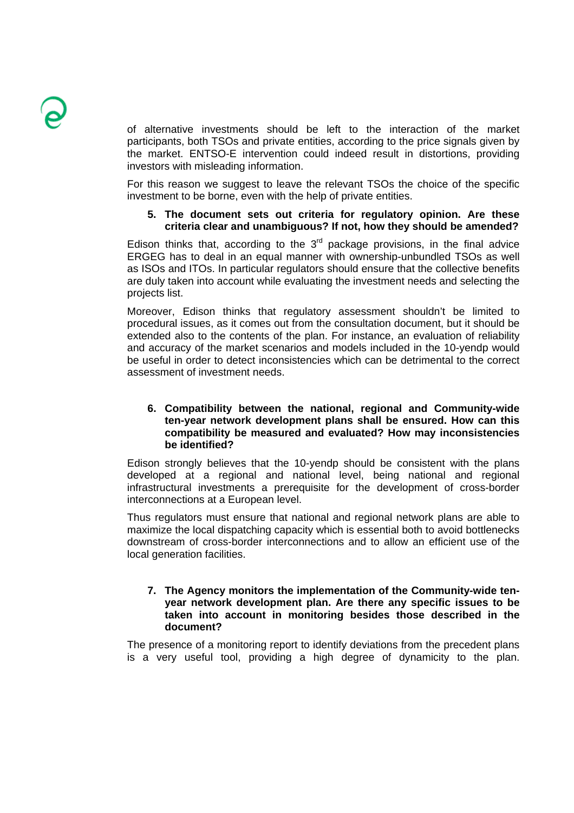of alternative investments should be left to the interaction of the market participants, both TSOs and private entities, according to the price signals given by the market. ENTSO-E intervention could indeed result in distortions, providing investors with misleading information.

For this reason we suggest to leave the relevant TSOs the choice of the specific investment to be borne, even with the help of private entities.

## **5. The document sets out criteria for regulatory opinion. Are these criteria clear and unambiguous? If not, how they should be amended?**

Edison thinks that, according to the  $3<sup>rd</sup>$  package provisions, in the final advice ERGEG has to deal in an equal manner with ownership-unbundled TSOs as well as ISOs and ITOs. In particular regulators should ensure that the collective benefits are duly taken into account while evaluating the investment needs and selecting the projects list.

Moreover, Edison thinks that regulatory assessment shouldn't be limited to procedural issues, as it comes out from the consultation document, but it should be extended also to the contents of the plan. For instance, an evaluation of reliability and accuracy of the market scenarios and models included in the 10-yendp would be useful in order to detect inconsistencies which can be detrimental to the correct assessment of investment needs.

## **6. Compatibility between the national, regional and Community-wide ten-year network development plans shall be ensured. How can this compatibility be measured and evaluated? How may inconsistencies be identified?**

Edison strongly believes that the 10-yendp should be consistent with the plans developed at a regional and national level, being national and regional infrastructural investments a prerequisite for the development of cross-border interconnections at a European level.

Thus regulators must ensure that national and regional network plans are able to maximize the local dispatching capacity which is essential both to avoid bottlenecks downstream of cross-border interconnections and to allow an efficient use of the local generation facilities.

#### **7. The Agency monitors the implementation of the Community-wide tenyear network development plan. Are there any specific issues to be taken into account in monitoring besides those described in the document?**

The presence of a monitoring report to identify deviations from the precedent plans is a very useful tool, providing a high degree of dynamicity to the plan.